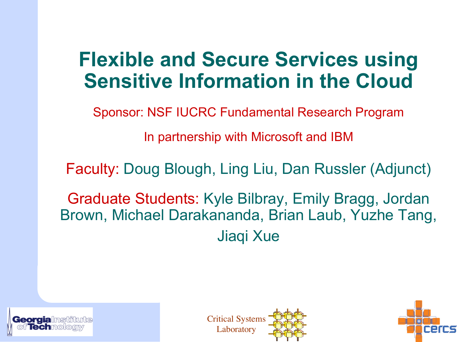### **Flexible and Secure Services using Sensitive Information in the Cloud**

Sponsor: NSF IUCRC Fundamental Research Program

In partnership with Microsoft and IBM

Faculty: Doug Blough, Ling Liu, Dan Russler (Adjunct)

Graduate Students: Kyle Bilbray, Emily Bragg, Jordan Brown, Michael Darakananda, Brian Laub, Yuzhe Tang, Jiaqi Xue





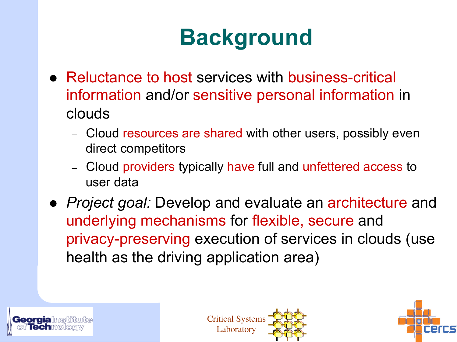### **Background**

- Reluctance to host services with business-critical information and/or sensitive personal information in clouds
	- Cloud resources are shared with other users, possibly even direct competitors
	- Cloud providers typically have full and unfettered access to user data
- *Project goal:* Develop and evaluate an architecture and underlying mechanisms for flexible, secure and privacy-preserving execution of services in clouds (use health as the driving application area)





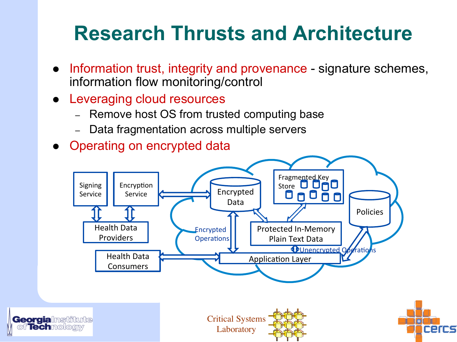### **Research Thrusts and Architecture**

- Information trust, integrity and provenance signature schemes, information flow monitoring/control
- Leveraging cloud resources
	- Remove host OS from trusted computing base
	- Data fragmentation across multiple servers
- Operating on encrypted data

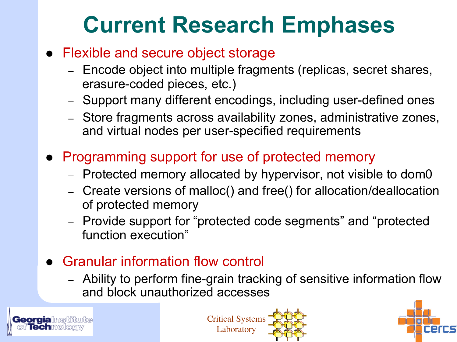### **Current Research Emphases**

#### • Flexible and secure object storage

- Encode object into multiple fragments (replicas, secret shares, erasure-coded pieces, etc.)
- Support many different encodings, including user-defined ones
- Store fragments across availability zones, administrative zones, and virtual nodes per user-specified requirements
- **Programming support for use of protected memory** 
	- Protected memory allocated by hypervisor, not visible to dom0
	- Create versions of malloc() and free() for allocation/deallocation of protected memory
	- Provide support for "protected code segments" and "protected function execution"
- **Granular information flow controll** 
	- Ability to perform fine-grain tracking of sensitive information flow and block unauthorized accesses





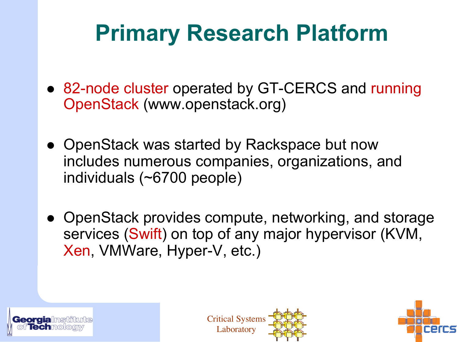### **Primary Research Platform**

- 82-node cluster operated by GT-CERCS and running OpenStack (www.openstack.org)
- OpenStack was started by Rackspace but now includes numerous companies, organizations, and individuals (~6700 people)
- OpenStack provides compute, networking, and storage services (Swift) on top of any major hypervisor (KVM, Xen, VMWare, Hyper-V, etc.)





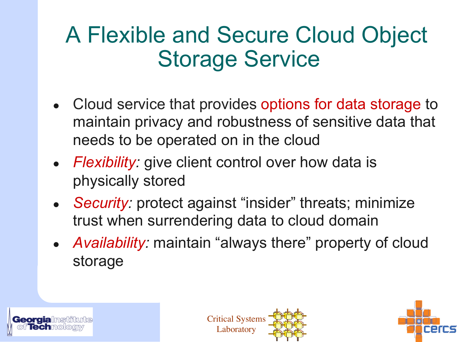### A Flexible and Secure Cloud Object Storage Service

- Cloud service that provides options for data storage to maintain privacy and robustness of sensitive data that needs to be operated on in the cloud
- *Flexibility:* give client control over how data is physically stored
- *Security:* protect against "insider" threats; minimize trust when surrendering data to cloud domain
- *Availability:* maintain "always there" property of cloud storage





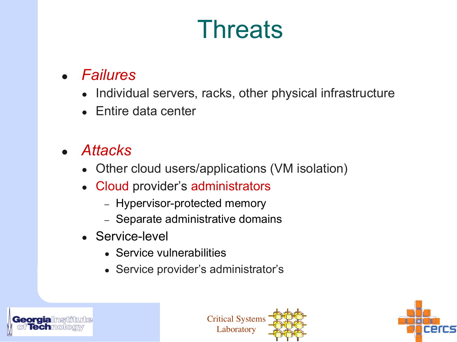## **Threats**

#### ● *Failures*

- Individual servers, racks, other physical infrastructure
- Entire data center

#### ● *Attacks*

- Other cloud users/applications (VM isolation)
- Cloud provider's administrators
	- Hypervisor-protected memory
	- Separate administrative domains
- Service-level
	- Service vulnerabilities
	- Service provider's administrator's





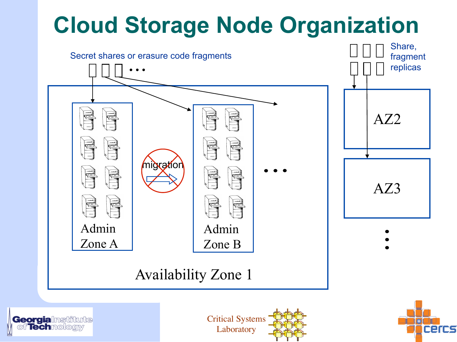### **Cloud Storage Node Organization**







**ercs**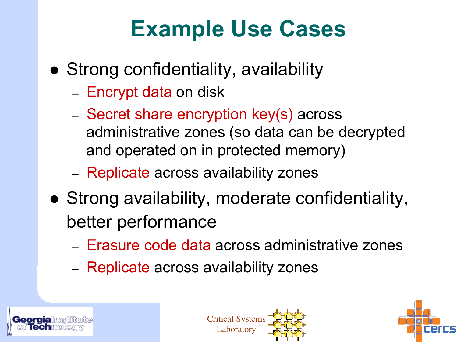### **Example Use Cases**

- Strong confidentiality, availability
	- Encrypt data on disk
	- Secret share encryption key(s) across administrative zones (so data can be decrypted and operated on in protected memory)
	- Replicate across availability zones
- Strong availability, moderate confidentiality, better performance
	- Erasure code data across administrative zones
	- Replicate across availability zones





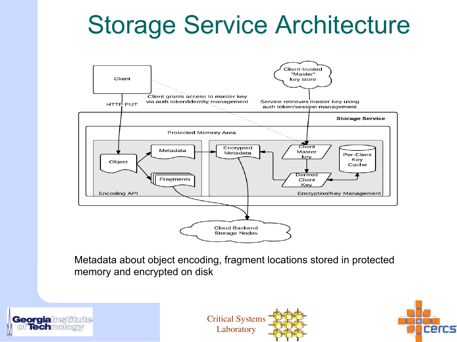## Storage Service Architecture



Metadata about object encoding, fragment locations stored in protected memory and encrypted on disk





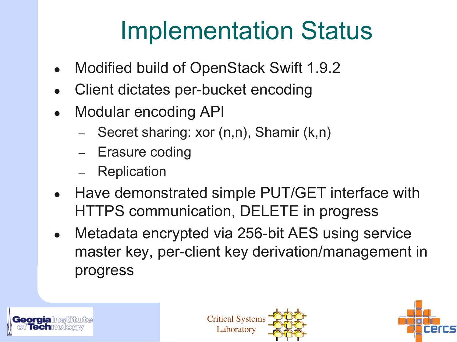## Implementation Status

- Modified build of OpenStack Swift 1.9.2
- Client dictates per-bucket encoding
- **Modular encoding API** 
	- Secret sharing: xor (n,n), Shamir (k,n)
	- Erasure coding
	- **Replication**
- Have demonstrated simple PUT/GET interface with HTTPS communication, DELETE in progress
- Metadata encrypted via 256-bit AES using service master key, per-client key derivation/management in progress





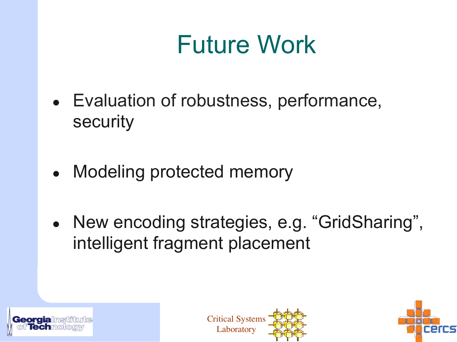# Future Work

- Evaluation of robustness, performance, security
- Modeling protected memory
- New encoding strategies, e.g. "GridSharing", intelligent fragment placement